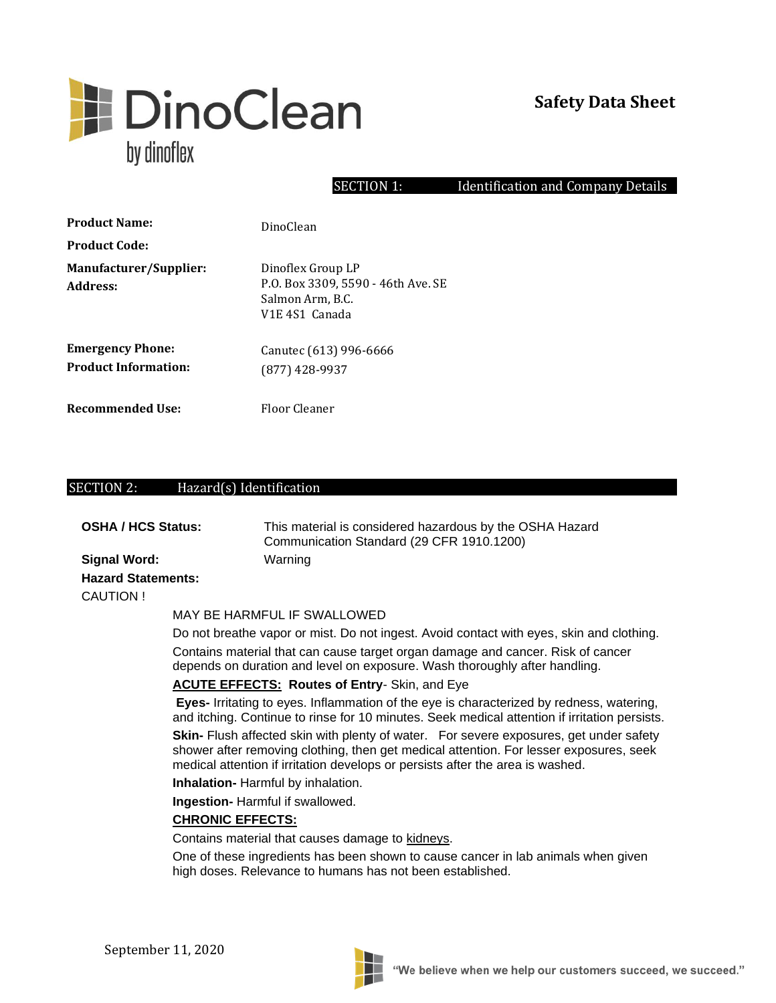

#### SECTION 1: Identification and Company Details

| <b>Product Name:</b>                                   | DinoClean                                                                                                              |
|--------------------------------------------------------|------------------------------------------------------------------------------------------------------------------------|
| <b>Product Code:</b>                                   |                                                                                                                        |
| Manufacturer/Supplier:<br>Address:                     | Dinoflex Group LP<br>P.O. Box 3309, 5590 - 46th Ave. SE<br>Salmon Arm, B.C.<br>V <sub>1</sub> E 4S <sub>1</sub> Canada |
| <b>Emergency Phone:</b><br><b>Product Information:</b> | Canutec (613) 996-6666<br>$(877)$ 428-9937                                                                             |
| Recommended Use:                                       | Floor Cleaner                                                                                                          |

#### SECTION 2: Hazard(s) Identification

| OSHA / HCS Status: | This material is considered hazardous by the OSHA Hazard<br>Communication Standard (29 CFR 1910.1200) |
|--------------------|-------------------------------------------------------------------------------------------------------|
| Signal Word:       | Warning                                                                                               |

## **Hazard Statements:**  CAUTION !

#### MAY BE HARMFUL IF SWALLOWED

Do not breathe vapor or mist. Do not ingest. Avoid contact with eyes, skin and clothing.

Contains material that can cause target organ damage and cancer. Risk of cancer depends on duration and level on exposure. Wash thoroughly after handling.

#### **ACUTE EFFECTS: Routes of Entry**- Skin, and Eye

**Eyes-** Irritating to eyes. Inflammation of the eye is characterized by redness, watering, and itching. Continue to rinse for 10 minutes. Seek medical attention if irritation persists. **Skin-** Flush affected skin with plenty of water. For severe exposures, get under safety shower after removing clothing, then get medical attention. For lesser exposures, seek medical attention if irritation develops or persists after the area is washed.

**Inhalation-** Harmful by inhalation.

**Ingestion-** Harmful if swallowed.

#### **CHRONIC EFFECTS:**

Contains material that causes damage to kidneys.

One of these ingredients has been shown to cause cancer in lab animals when given high doses. Relevance to humans has not been established.

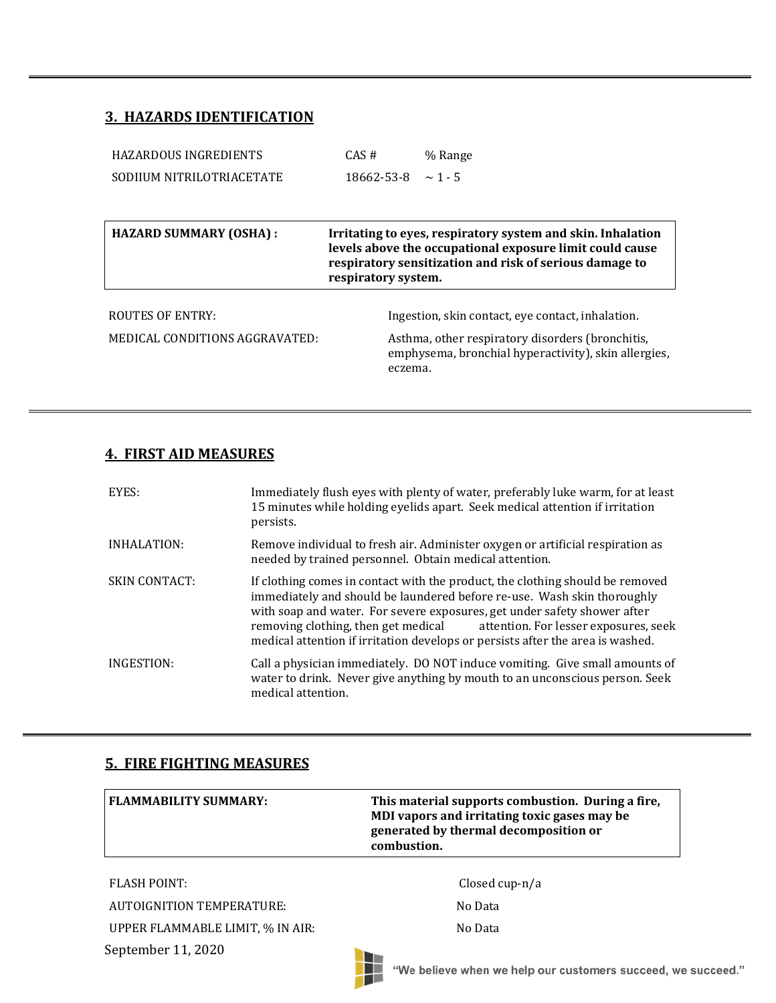## **3. HAZARDS IDENTIFICATION**

| CAS#                | % Range                                                                                                                                                                            |
|---------------------|------------------------------------------------------------------------------------------------------------------------------------------------------------------------------------|
| 18662-53-8          | $\sim$ 1 - 5                                                                                                                                                                       |
|                     |                                                                                                                                                                                    |
|                     | Irritating to eyes, respiratory system and skin. Inhalation<br>levels above the occupational exposure limit could cause<br>respiratory sensitization and risk of serious damage to |
| respiratory system. |                                                                                                                                                                                    |
|                     | Ingestion, skin contact, eve contact, inhalation.                                                                                                                                  |
|                     |                                                                                                                                                                                    |

### **4. FIRST AID MEASURES**

| EYES:                | Immediately flush eyes with plenty of water, preferably luke warm, for at least<br>15 minutes while holding eyelids apart. Seek medical attention if irritation<br>persists.                                                                                                                                                                                                                           |
|----------------------|--------------------------------------------------------------------------------------------------------------------------------------------------------------------------------------------------------------------------------------------------------------------------------------------------------------------------------------------------------------------------------------------------------|
| INHALATION:          | Remove individual to fresh air. Administer oxygen or artificial respiration as<br>needed by trained personnel. Obtain medical attention.                                                                                                                                                                                                                                                               |
| <b>SKIN CONTACT:</b> | If clothing comes in contact with the product, the clothing should be removed<br>immediately and should be laundered before re-use. Wash skin thoroughly<br>with soap and water. For severe exposures, get under safety shower after<br>removing clothing, then get medical<br>attention. For lesser exposures, seek<br>medical attention if irritation develops or persists after the area is washed. |
| INGESTION:           | Call a physician immediately. DO NOT induce vomiting. Give small amounts of<br>water to drink. Never give anything by mouth to an unconscious person. Seek<br>medical attention.                                                                                                                                                                                                                       |

### **5. FIRE FIGHTING MEASURES**

| <b>FLAMMABILITY SUMMARY:</b> | This material supports combustion. During a fire,<br>MDI vapors and irritating toxic gases may be<br>generated by thermal decomposition or<br>combustion. |
|------------------------------|-----------------------------------------------------------------------------------------------------------------------------------------------------------|
|                              |                                                                                                                                                           |

T

September 11, 2020 FLASH POINT: Closed cup-n/a AUTOIGNITION TEMPERATURE: No Data UPPER FLAMMABLE LIMIT, % IN AIR: No Data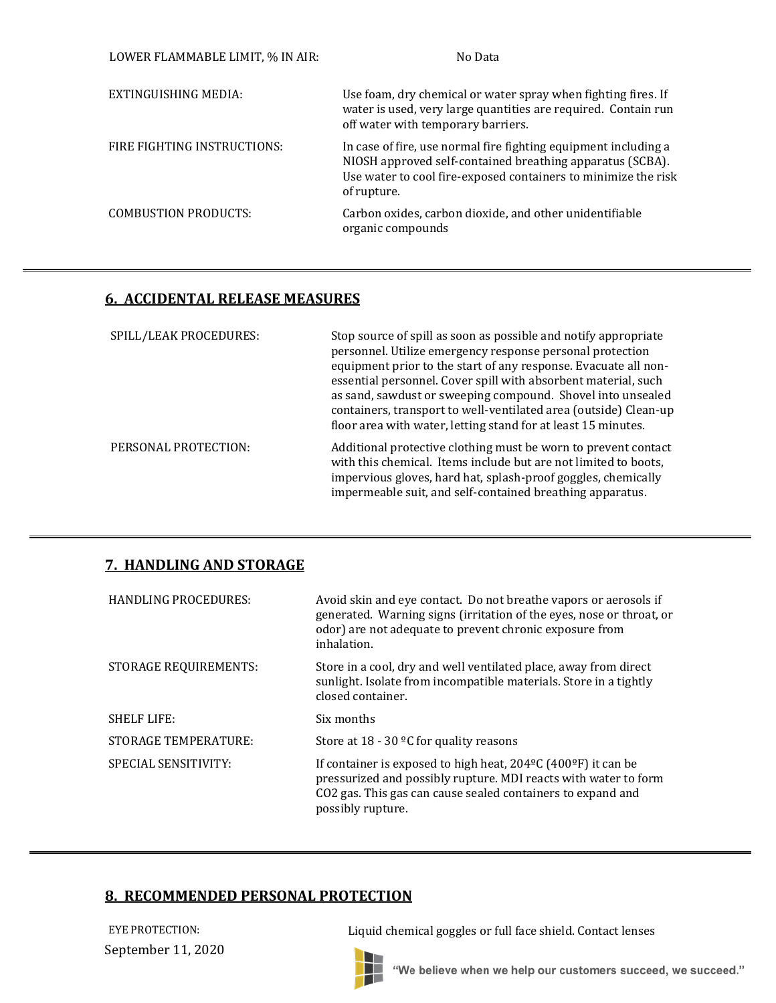| LOWER FLAMMABLE LIMIT, % IN AIR: | No Data                                                                                                                                                                                                       |
|----------------------------------|---------------------------------------------------------------------------------------------------------------------------------------------------------------------------------------------------------------|
| EXTINGUISHING MEDIA:             | Use foam, dry chemical or water spray when fighting fires. If<br>water is used, very large quantities are required. Contain run<br>off water with temporary barriers.                                         |
| FIRE FIGHTING INSTRUCTIONS:      | In case of fire, use normal fire fighting equipment including a<br>NIOSH approved self-contained breathing apparatus (SCBA).<br>Use water to cool fire-exposed containers to minimize the risk<br>of rupture. |
| <b>COMBUSTION PRODUCTS:</b>      | Carbon oxides, carbon dioxide, and other unidentifiable<br>organic compounds                                                                                                                                  |

## **6. ACCIDENTAL RELEASE MEASURES**

| SPILL/LEAK PROCEDURES: | Stop source of spill as soon as possible and notify appropriate<br>personnel. Utilize emergency response personal protection<br>equipment prior to the start of any response. Evacuate all non-<br>essential personnel. Cover spill with absorbent material, such<br>as sand, sawdust or sweeping compound. Shovel into unsealed<br>containers, transport to well-ventilated area (outside) Clean-up<br>floor area with water, letting stand for at least 15 minutes. |
|------------------------|-----------------------------------------------------------------------------------------------------------------------------------------------------------------------------------------------------------------------------------------------------------------------------------------------------------------------------------------------------------------------------------------------------------------------------------------------------------------------|
| PERSONAL PROTECTION:   | Additional protective clothing must be worn to prevent contact<br>with this chemical. Items include but are not limited to boots,<br>impervious gloves, hard hat, splash-proof goggles, chemically<br>impermeable suit, and self-contained breathing apparatus.                                                                                                                                                                                                       |

## **7. HANDLING AND STORAGE**

| <b>HANDLING PROCEDURES:</b>  | Avoid skin and eye contact. Do not breathe vapors or aerosols if<br>generated. Warning signs (irritation of the eyes, nose or throat, or<br>odor) are not adequate to prevent chronic exposure from<br>inhalation.                        |
|------------------------------|-------------------------------------------------------------------------------------------------------------------------------------------------------------------------------------------------------------------------------------------|
| <b>STORAGE REQUIREMENTS:</b> | Store in a cool, dry and well ventilated place, away from direct<br>sunlight. Isolate from incompatible materials. Store in a tightly<br>closed container.                                                                                |
| <b>SHELF LIFE:</b>           | Six months                                                                                                                                                                                                                                |
| STORAGE TEMPERATURE:         | Store at $18 - 30$ °C for quality reasons                                                                                                                                                                                                 |
| <b>SPECIAL SENSITIVITY:</b>  | If container is exposed to high heat, $204^{\circ}$ C (400 $^{\circ}$ F) it can be<br>pressurized and possibly rupture. MDI reacts with water to form<br>CO2 gas. This gas can cause sealed containers to expand and<br>possibly rupture. |

## **8. RECOMMENDED PERSONAL PROTECTION**

September 11, 2020

EYE PROTECTION: Liquid chemical goggles or full face shield. Contact lenses

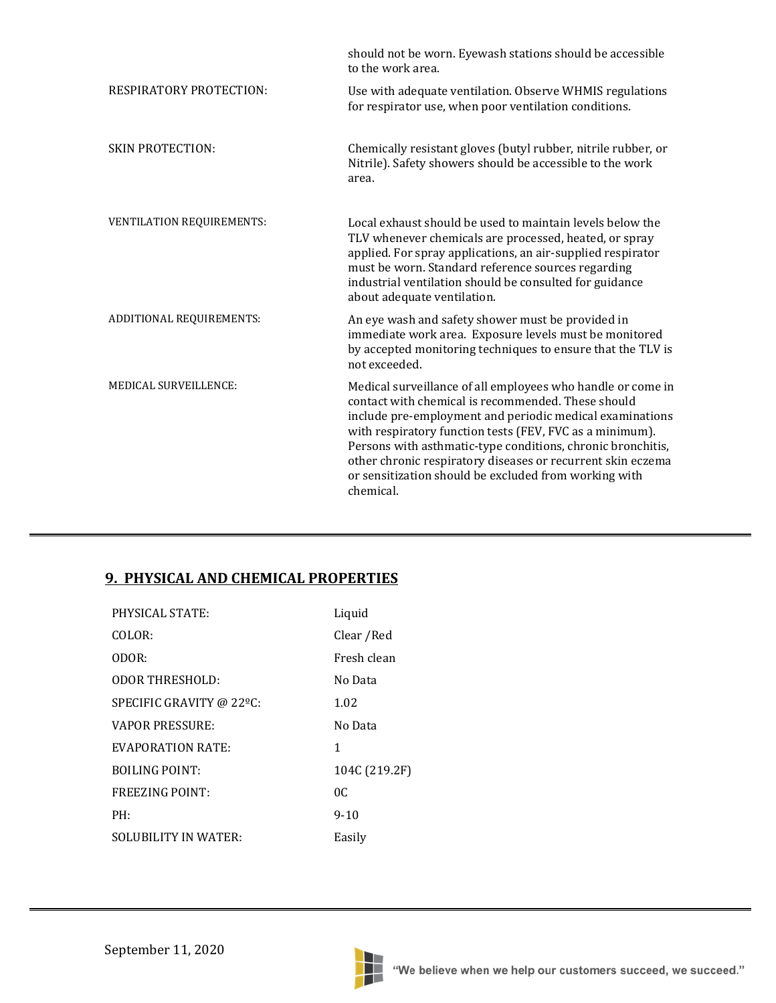|                                  | should not be worn. Eyewash stations should be accessible<br>to the work area.                                                                                                                                                                                                                                                                                                                                                                |
|----------------------------------|-----------------------------------------------------------------------------------------------------------------------------------------------------------------------------------------------------------------------------------------------------------------------------------------------------------------------------------------------------------------------------------------------------------------------------------------------|
| <b>RESPIRATORY PROTECTION:</b>   | Use with adequate ventilation. Observe WHMIS regulations<br>for respirator use, when poor ventilation conditions.                                                                                                                                                                                                                                                                                                                             |
| <b>SKIN PROTECTION:</b>          | Chemically resistant gloves (butyl rubber, nitrile rubber, or<br>Nitrile). Safety showers should be accessible to the work<br>area.                                                                                                                                                                                                                                                                                                           |
| <b>VENTILATION REQUIREMENTS:</b> | Local exhaust should be used to maintain levels below the<br>TLV whenever chemicals are processed, heated, or spray<br>applied. For spray applications, an air-supplied respirator<br>must be worn. Standard reference sources regarding<br>industrial ventilation should be consulted for guidance<br>about adequate ventilation.                                                                                                            |
| ADDITIONAL REQUIREMENTS:         | An eye wash and safety shower must be provided in<br>immediate work area. Exposure levels must be monitored<br>by accepted monitoring techniques to ensure that the TLV is<br>not exceeded.                                                                                                                                                                                                                                                   |
| MEDICAL SURVEILLENCE:            | Medical surveillance of all employees who handle or come in<br>contact with chemical is recommended. These should<br>include pre-employment and periodic medical examinations<br>with respiratory function tests (FEV, FVC as a minimum).<br>Persons with asthmatic-type conditions, chronic bronchitis,<br>other chronic respiratory diseases or recurrent skin eczema<br>or sensitization should be excluded from working with<br>chemical. |

## **9. PHYSICAL AND CHEMICAL PROPERTIES**

| <b>PHYSICAL STATE:</b>      | Liquid        |
|-----------------------------|---------------|
| COLOR:                      | Clear / Red   |
| ODOR:                       | Fresh clean   |
| <b>ODOR THRESHOLD:</b>      | No Data       |
| SPECIFIC GRAVITY @ 22ºC:    | 1.02          |
| <b>VAPOR PRESSURE:</b>      | No Data       |
| <b>EVAPORATION RATE:</b>    | 1             |
| <b>BOILING POINT:</b>       | 104C (219.2F) |
| <b>FREEZING POINT:</b>      | OC.           |
| PH:                         | $9 - 10$      |
| <b>SOLUBILITY IN WATER:</b> | Easily        |

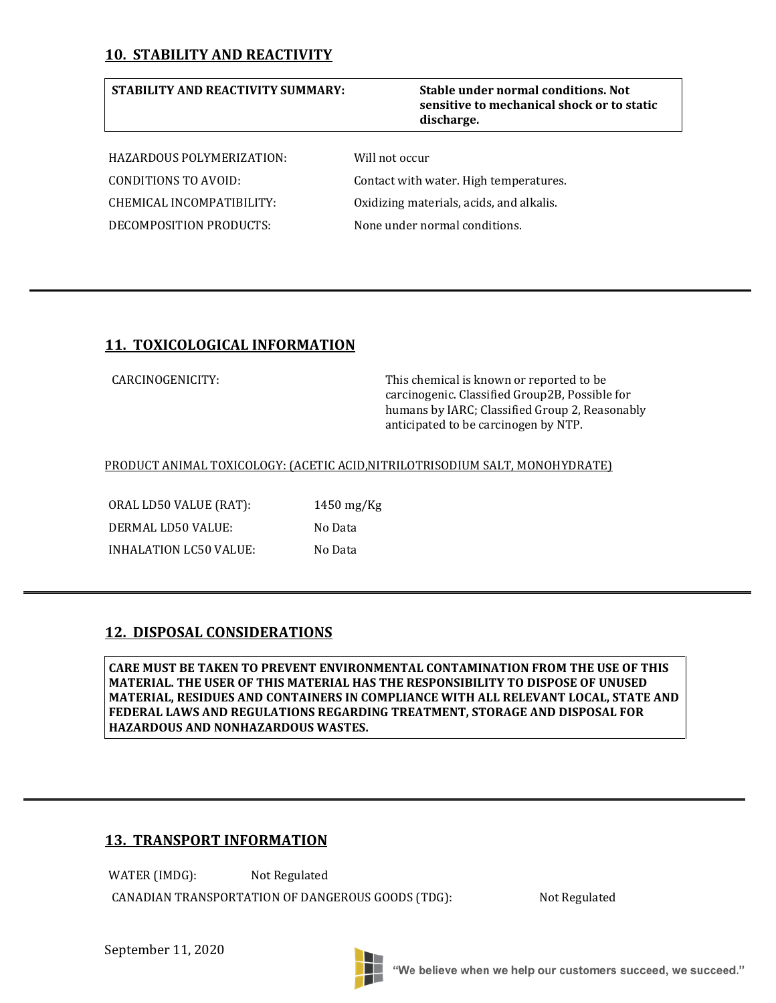## **10. STABILITY AND REACTIVITY**

### **STABILITY AND REACTIVITY SUMMARY: Stable under normal conditions. Not**

# **sensitive to mechanical shock or to static discharge.**

HAZARDOUS POLYMERIZATION: Will not occur DECOMPOSITION PRODUCTS: None under normal conditions.

CONDITIONS TO AVOID: Contact with water. High temperatures. CHEMICAL INCOMPATIBILITY: Oxidizing materials, acids, and alkalis.

## **11. TOXICOLOGICAL INFORMATION**

CARCINOGENICITY: This chemical is known or reported to be carcinogenic. Classified Group2B, Possible for humans by IARC; Classified Group 2, Reasonably anticipated to be carcinogen by NTP.

#### PRODUCT ANIMAL TOXICOLOGY: (ACETIC ACID,NITRILOTRISODIUM SALT, MONOHYDRATE)

ORAL LD50 VALUE (RAT): 1450 mg/Kg DERMAL LD50 VALUE: No Data INHALATION LC50 VALUE: No Data

## **12. DISPOSAL CONSIDERATIONS**

**CARE MUST BE TAKEN TO PREVENT ENVIRONMENTAL CONTAMINATION FROM THE USE OF THIS MATERIAL. THE USER OF THIS MATERIAL HAS THE RESPONSIBILITY TO DISPOSE OF UNUSED MATERIAL, RESIDUES AND CONTAINERS IN COMPLIANCE WITH ALL RELEVANT LOCAL, STATE AND FEDERAL LAWS AND REGULATIONS REGARDING TREATMENT, STORAGE AND DISPOSAL FOR HAZARDOUS AND NONHAZARDOUS WASTES.**

## **13. TRANSPORT INFORMATION**

WATER (IMDG): Not Regulated

CANADIAN TRANSPORTATION OF DANGEROUS GOODS (TDG): Not Regulated

September 11, 2020